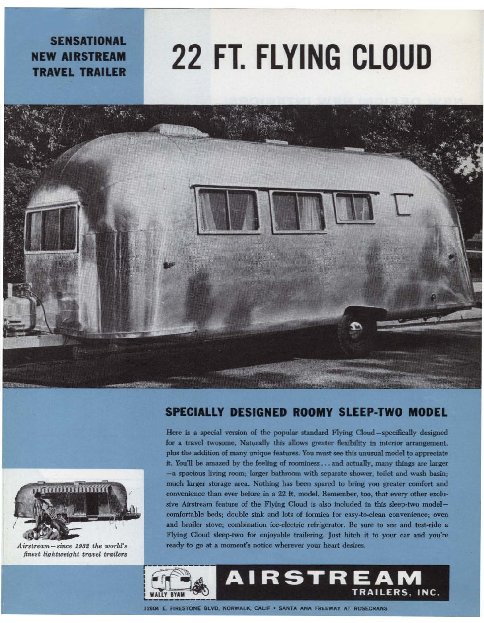**SENSATIONAL NEW AIRSTREAM TRAVEL TRAILER** 

## **22 FT. FLYING CLOUD**





Here is a special version of the popular standard Flying Cloud-specifically designed for a travel twosome. Naturally this allows greater flexibility in interior arrangement, plus the addition of many unique features. You must see this unusual model to appreciate it. You'll be amazed by the feeling of roominess... and actually, many things are larger -a spacious living room; larger bathroom with separate shower, toilet and wash basin; much larger storage area. Nothing has been spared to bring you greater comfort and convenience than ever before in a 22 ft, model. Remember, too, that every other exclusive Airstream feature of the Flying Cloud is also included in this sleep-two modelcomfortable beds; double sink and lots of formica for easy-to-clean convenience; oven and broiler stove; combination ice-electric refrigerator. Be sure to see and test-ride a Flying Cloud sleep-two for enjoyable trailering. Just hitch it to your car and you're ready to go at a moment's notice wherever your heart desires.





Airstream - since 1932 the world's finest lightweight travel trailers